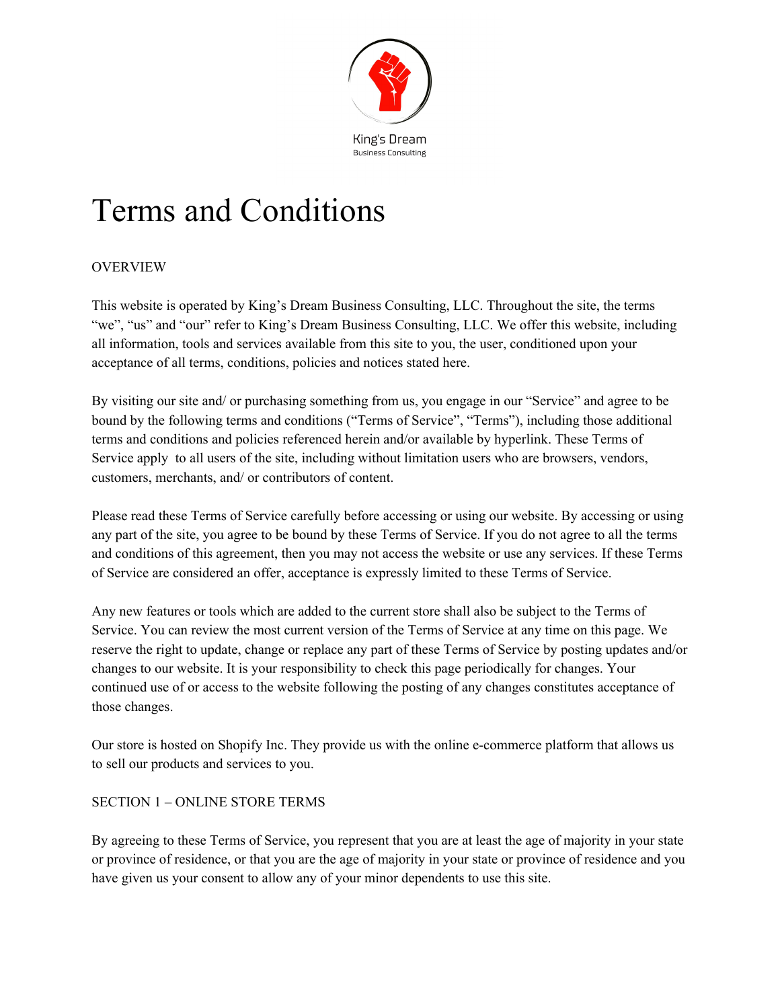

# Terms and Conditions

## OVERVIEW

This website is operated by King's Dream Business Consulting, LLC. Throughout the site, the terms "we", "us" and "our" refer to King's Dream Business Consulting, LLC. We offer this website, including all information, tools and services available from this site to you, the user, conditioned upon your acceptance of all terms, conditions, policies and notices stated here.

By visiting our site and/ or purchasing something from us, you engage in our "Service" and agree to be bound by the following terms and conditions ("Terms of Service", "Terms"), including those additional terms and conditions and policies referenced herein and/or available by hyperlink. These Terms of Service apply to all users of the site, including without limitation users who are browsers, vendors, customers, merchants, and/ or contributors of content.

Please read these Terms of Service carefully before accessing or using our website. By accessing or using any part of the site, you agree to be bound by these Terms of Service. If you do not agree to all the terms and conditions of this agreement, then you may not access the website or use any services. If these Terms of Service are considered an offer, acceptance is expressly limited to these Terms of Service.

Any new features or tools which are added to the current store shall also be subject to the Terms of Service. You can review the most current version of the Terms of Service at any time on this page. We reserve the right to update, change or replace any part of these Terms of Service by posting updates and/or changes to our website. It is your responsibility to check this page periodically for changes. Your continued use of or access to the website following the posting of any changes constitutes acceptance of those changes.

Our store is hosted on Shopify Inc. They provide us with the online e-commerce platform that allows us to sell our products and services to you.

#### SECTION 1 – ONLINE STORE TERMS

By agreeing to these Terms of Service, you represent that you are at least the age of majority in your state or province of residence, or that you are the age of majority in your state or province of residence and you have given us your consent to allow any of your minor dependents to use this site.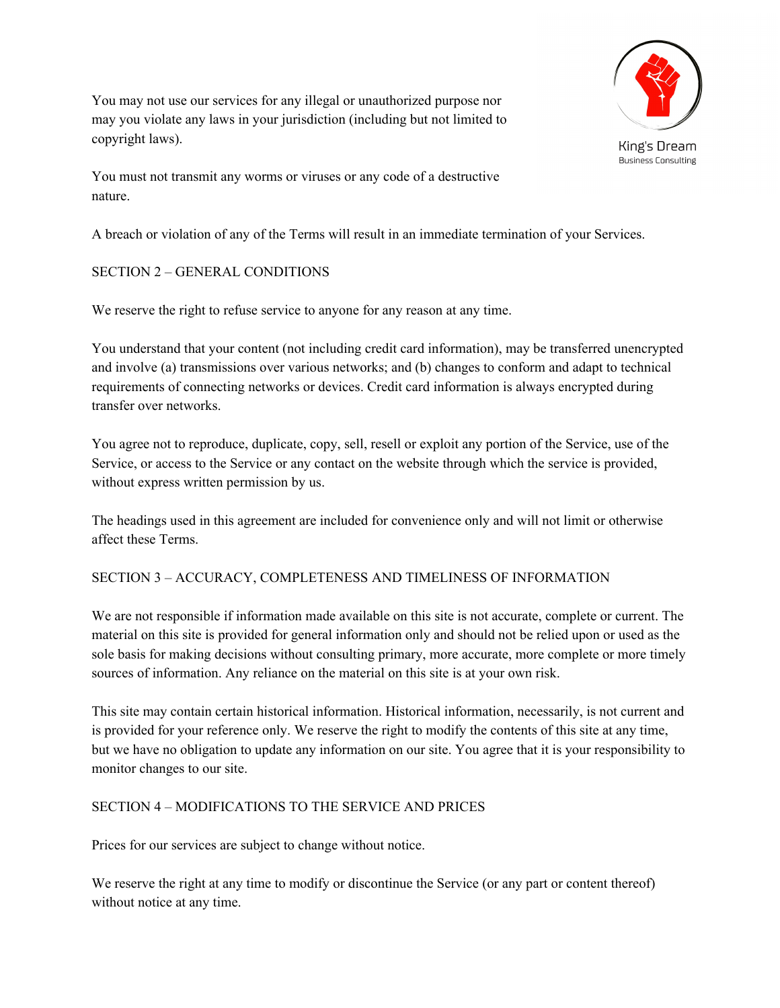You may not use our services for any illegal or unauthorized purpose nor may you violate any laws in your jurisdiction (including but not limited to copyright laws).



You must not transmit any worms or viruses or any code of a destructive nature.

A breach or violation of any of the Terms will result in an immediate termination of your Services.

## SECTION 2 – GENERAL CONDITIONS

We reserve the right to refuse service to anyone for any reason at any time.

You understand that your content (not including credit card information), may be transferred unencrypted and involve (a) transmissions over various networks; and (b) changes to conform and adapt to technical requirements of connecting networks or devices. Credit card information is always encrypted during transfer over networks.

You agree not to reproduce, duplicate, copy, sell, resell or exploit any portion of the Service, use of the Service, or access to the Service or any contact on the website through which the service is provided, without express written permission by us.

The headings used in this agreement are included for convenience only and will not limit or otherwise affect these Terms.

## SECTION 3 – ACCURACY, COMPLETENESS AND TIMELINESS OF INFORMATION

We are not responsible if information made available on this site is not accurate, complete or current. The material on this site is provided for general information only and should not be relied upon or used as the sole basis for making decisions without consulting primary, more accurate, more complete or more timely sources of information. Any reliance on the material on this site is at your own risk.

This site may contain certain historical information. Historical information, necessarily, is not current and is provided for your reference only. We reserve the right to modify the contents of this site at any time, but we have no obligation to update any information on our site. You agree that it is your responsibility to monitor changes to our site.

## SECTION 4 – MODIFICATIONS TO THE SERVICE AND PRICES

Prices for our services are subject to change without notice.

We reserve the right at any time to modify or discontinue the Service (or any part or content thereof) without notice at any time.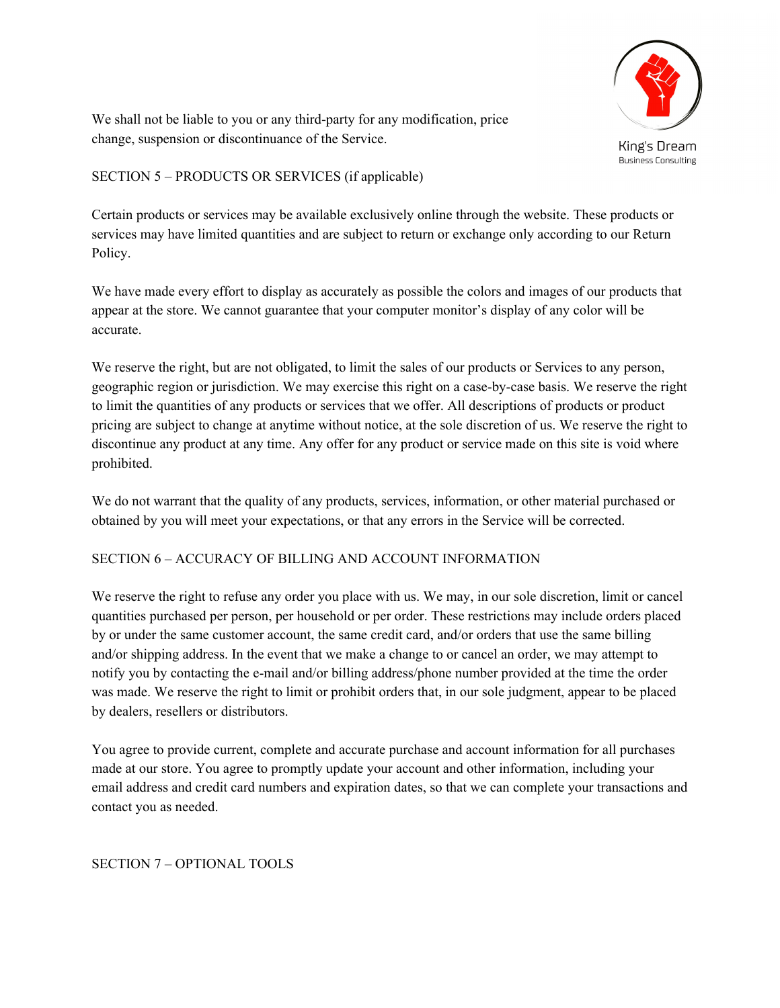

We shall not be liable to you or any third-party for any modification, price change, suspension or discontinuance of the Service.

SECTION 5 – PRODUCTS OR SERVICES (if applicable)

Certain products or services may be available exclusively online through the website. These products or services may have limited quantities and are subject to return or exchange only according to our Return Policy.

We have made every effort to display as accurately as possible the colors and images of our products that appear at the store. We cannot guarantee that your computer monitor's display of any color will be accurate.

We reserve the right, but are not obligated, to limit the sales of our products or Services to any person, geographic region or jurisdiction. We may exercise this right on a case-by-case basis. We reserve the right to limit the quantities of any products or services that we offer. All descriptions of products or product pricing are subject to change at anytime without notice, at the sole discretion of us. We reserve the right to discontinue any product at any time. Any offer for any product or service made on this site is void where prohibited.

We do not warrant that the quality of any products, services, information, or other material purchased or obtained by you will meet your expectations, or that any errors in the Service will be corrected.

## SECTION 6 – ACCURACY OF BILLING AND ACCOUNT INFORMATION

We reserve the right to refuse any order you place with us. We may, in our sole discretion, limit or cancel quantities purchased per person, per household or per order. These restrictions may include orders placed by or under the same customer account, the same credit card, and/or orders that use the same billing and/or shipping address. In the event that we make a change to or cancel an order, we may attempt to notify you by contacting the e-mail and/or billing address/phone number provided at the time the order was made. We reserve the right to limit or prohibit orders that, in our sole judgment, appear to be placed by dealers, resellers or distributors.

You agree to provide current, complete and accurate purchase and account information for all purchases made at our store. You agree to promptly update your account and other information, including your email address and credit card numbers and expiration dates, so that we can complete your transactions and contact you as needed.

#### SECTION 7 – OPTIONAL TOOLS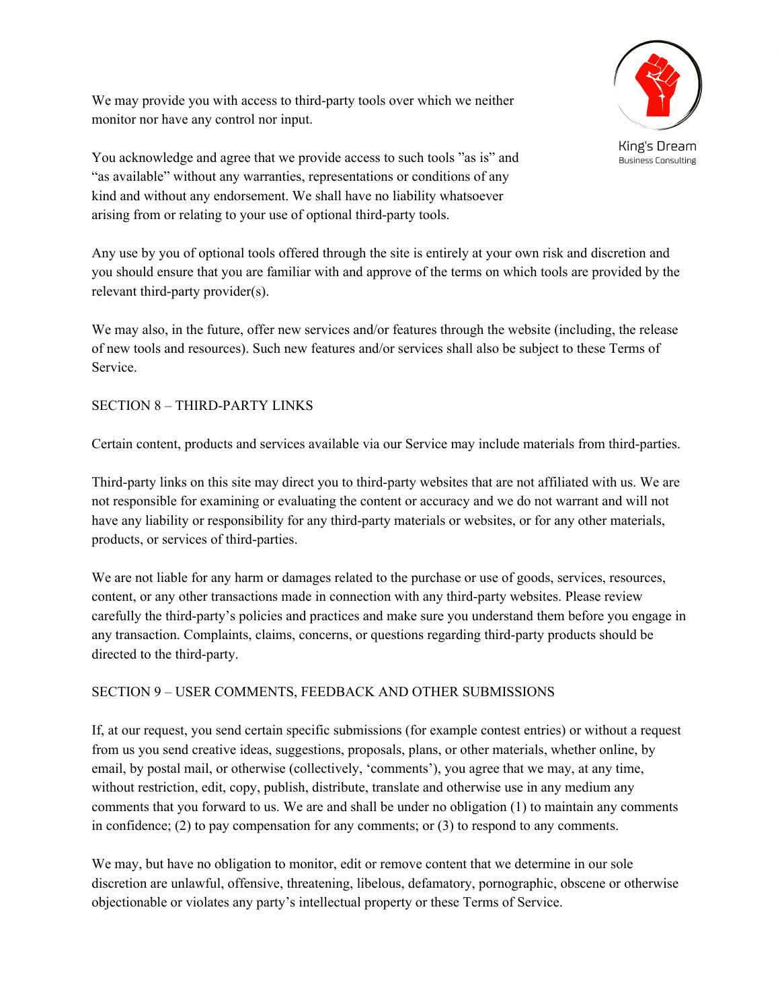We may provide you with access to third-party tools over which we neither monitor nor have any control nor input.



You acknowledge and agree that we provide access to such tools "as is" and "as available" without any warranties, representations or conditions of any kind and without any endorsement. We shall have no liability whatsoever arising from or relating to your use of optional third-party tools.

Any use by you of optional tools offered through the site is entirely at your own risk and discretion and you should ensure that you are familiar with and approve of the terms on which tools are provided by the relevant third-party provider(s).

We may also, in the future, offer new services and/or features through the website (including, the release of new tools and resources). Such new features and/or services shall also be subject to these Terms of Service.

## SECTION 8 – THIRD-PARTY LINKS

Certain content, products and services available via our Service may include materials from third-parties.

Third-party links on this site may direct you to third-party websites that are not affiliated with us. We are not responsible for examining or evaluating the content or accuracy and we do not warrant and will not have any liability or responsibility for any third-party materials or websites, or for any other materials, products, or services of third-parties.

We are not liable for any harm or damages related to the purchase or use of goods, services, resources, content, or any other transactions made in connection with any third-party websites. Please review carefully the third-party's policies and practices and make sure you understand them before you engage in any transaction. Complaints, claims, concerns, or questions regarding third-party products should be directed to the third-party.

#### SECTION 9 – USER COMMENTS, FEEDBACK AND OTHER SUBMISSIONS

If, at our request, you send certain specific submissions (for example contest entries) or without a request from us you send creative ideas, suggestions, proposals, plans, or other materials, whether online, by email, by postal mail, or otherwise (collectively, 'comments'), you agree that we may, at any time, without restriction, edit, copy, publish, distribute, translate and otherwise use in any medium any comments that you forward to us. We are and shall be under no obligation (1) to maintain any comments in confidence; (2) to pay compensation for any comments; or (3) to respond to any comments.

We may, but have no obligation to monitor, edit or remove content that we determine in our sole discretion are unlawful, offensive, threatening, libelous, defamatory, pornographic, obscene or otherwise objectionable or violates any party's intellectual property or these Terms of Service.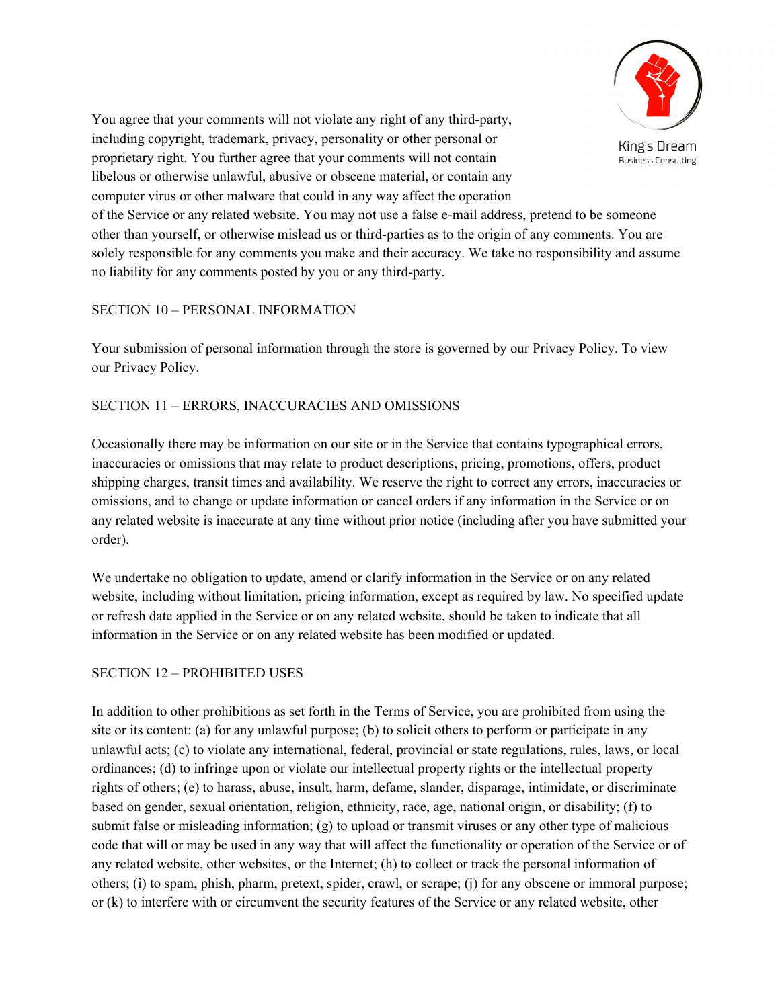

You agree that your comments will not violate any right of any third-party, including copyright, trademark, privacy, personality or other personal or proprietary right. You further agree that your comments will not contain libelous or otherwise unlawful, abusive or obscene material, or contain any computer virus or other malware that could in any way affect the operation

of the Service or any related website. You may not use a false e-mail address, pretend to be someone other than yourself, or otherwise mislead us or third-parties as to the origin of any comments. You are solely responsible for any comments you make and their accuracy. We take no responsibility and assume no liability for any comments posted by you or any third-party.

#### SECTION 10 – PERSONAL INFORMATION

Your submission of personal information through the store is governed by our Privacy Policy. To view our Privacy Policy.

## SECTION 11 – ERRORS, INACCURACIES AND OMISSIONS

Occasionally there may be information on our site or in the Service that contains typographical errors, inaccuracies or omissions that may relate to product descriptions, pricing, promotions, offers, product shipping charges, transit times and availability. We reserve the right to correct any errors, inaccuracies or omissions, and to change or update information or cancel orders if any information in the Service or on any related website is inaccurate at any time without prior notice (including after you have submitted your order).

We undertake no obligation to update, amend or clarify information in the Service or on any related website, including without limitation, pricing information, except as required by law. No specified update or refresh date applied in the Service or on any related website, should be taken to indicate that all information in the Service or on any related website has been modified or updated.

## SECTION 12 – PROHIBITED USES

In addition to other prohibitions as set forth in the Terms of Service, you are prohibited from using the site or its content: (a) for any unlawful purpose; (b) to solicit others to perform or participate in any unlawful acts; (c) to violate any international, federal, provincial or state regulations, rules, laws, or local ordinances; (d) to infringe upon or violate our intellectual property rights or the intellectual property rights of others; (e) to harass, abuse, insult, harm, defame, slander, disparage, intimidate, or discriminate based on gender, sexual orientation, religion, ethnicity, race, age, national origin, or disability; (f) to submit false or misleading information; (g) to upload or transmit viruses or any other type of malicious code that will or may be used in any way that will affect the functionality or operation of the Service or of any related website, other websites, or the Internet; (h) to collect or track the personal information of others; (i) to spam, phish, pharm, pretext, spider, crawl, or scrape; (j) for any obscene or immoral purpose; or (k) to interfere with or circumvent the security features of the Service or any related website, other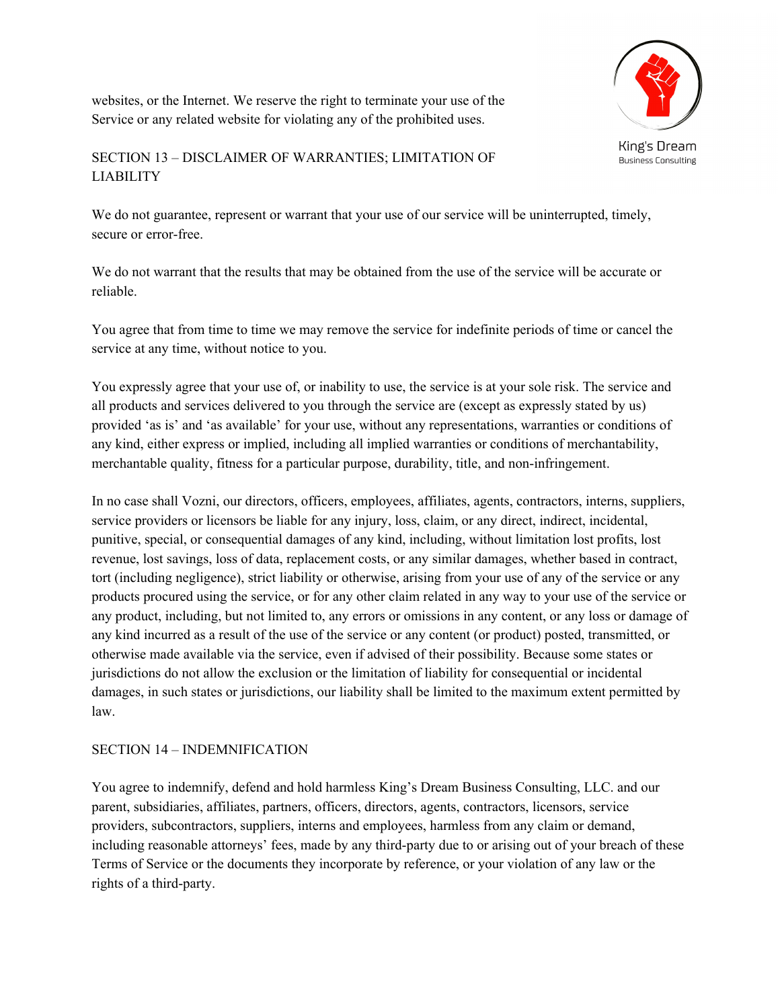

websites, or the Internet. We reserve the right to terminate your use of the Service or any related website for violating any of the prohibited uses.

## SECTION 13 – DISCLAIMER OF WARRANTIES; LIMITATION OF LIABILITY

We do not guarantee, represent or warrant that your use of our service will be uninterrupted, timely, secure or error-free.

We do not warrant that the results that may be obtained from the use of the service will be accurate or reliable.

You agree that from time to time we may remove the service for indefinite periods of time or cancel the service at any time, without notice to you.

You expressly agree that your use of, or inability to use, the service is at your sole risk. The service and all products and services delivered to you through the service are (except as expressly stated by us) provided 'as is' and 'as available' for your use, without any representations, warranties or conditions of any kind, either express or implied, including all implied warranties or conditions of merchantability, merchantable quality, fitness for a particular purpose, durability, title, and non-infringement.

In no case shall Vozni, our directors, officers, employees, affiliates, agents, contractors, interns, suppliers, service providers or licensors be liable for any injury, loss, claim, or any direct, indirect, incidental, punitive, special, or consequential damages of any kind, including, without limitation lost profits, lost revenue, lost savings, loss of data, replacement costs, or any similar damages, whether based in contract, tort (including negligence), strict liability or otherwise, arising from your use of any of the service or any products procured using the service, or for any other claim related in any way to your use of the service or any product, including, but not limited to, any errors or omissions in any content, or any loss or damage of any kind incurred as a result of the use of the service or any content (or product) posted, transmitted, or otherwise made available via the service, even if advised of their possibility. Because some states or jurisdictions do not allow the exclusion or the limitation of liability for consequential or incidental damages, in such states or jurisdictions, our liability shall be limited to the maximum extent permitted by law.

## SECTION 14 – INDEMNIFICATION

You agree to indemnify, defend and hold harmless King's Dream Business Consulting, LLC. and our parent, subsidiaries, affiliates, partners, officers, directors, agents, contractors, licensors, service providers, subcontractors, suppliers, interns and employees, harmless from any claim or demand, including reasonable attorneys' fees, made by any third-party due to or arising out of your breach of these Terms of Service or the documents they incorporate by reference, or your violation of any law or the rights of a third-party.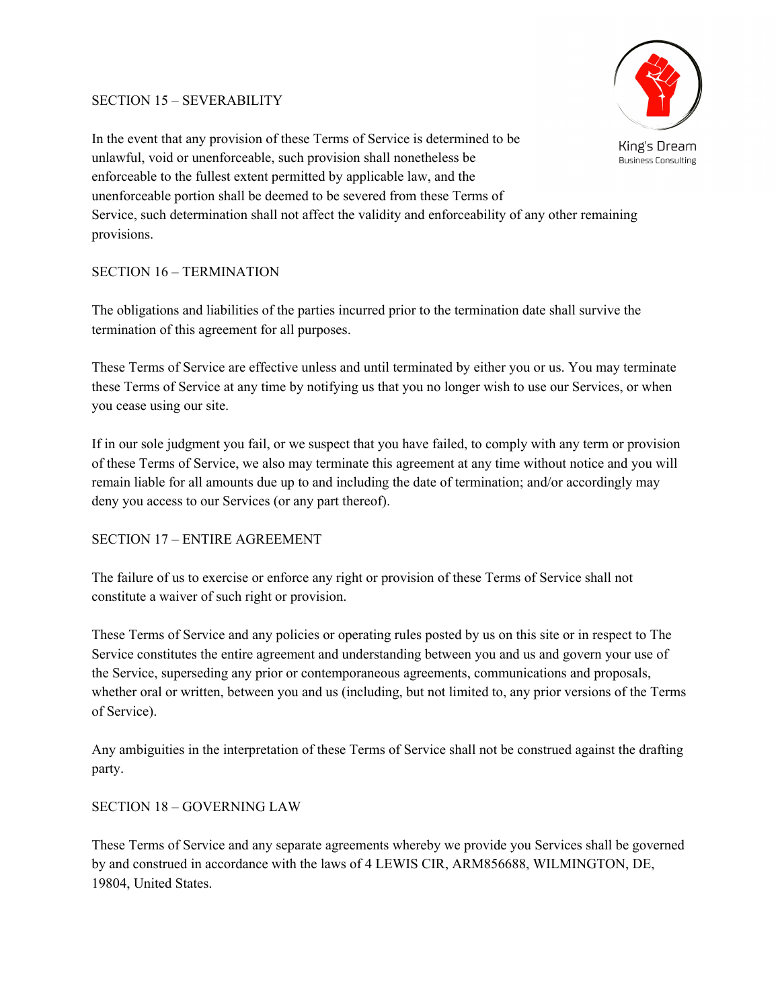#### SECTION 15 – SEVERABILITY



In the event that any provision of these Terms of Service is determined to be unlawful, void or unenforceable, such provision shall nonetheless be enforceable to the fullest extent permitted by applicable law, and the unenforceable portion shall be deemed to be severed from these Terms of Service, such determination shall not affect the validity and enforceability of any other remaining provisions.

#### SECTION 16 – TERMINATION

The obligations and liabilities of the parties incurred prior to the termination date shall survive the termination of this agreement for all purposes.

These Terms of Service are effective unless and until terminated by either you or us. You may terminate these Terms of Service at any time by notifying us that you no longer wish to use our Services, or when you cease using our site.

If in our sole judgment you fail, or we suspect that you have failed, to comply with any term or provision of these Terms of Service, we also may terminate this agreement at any time without notice and you will remain liable for all amounts due up to and including the date of termination; and/or accordingly may deny you access to our Services (or any part thereof).

#### SECTION 17 – ENTIRE AGREEMENT

The failure of us to exercise or enforce any right or provision of these Terms of Service shall not constitute a waiver of such right or provision.

These Terms of Service and any policies or operating rules posted by us on this site or in respect to The Service constitutes the entire agreement and understanding between you and us and govern your use of the Service, superseding any prior or contemporaneous agreements, communications and proposals, whether oral or written, between you and us (including, but not limited to, any prior versions of the Terms of Service).

Any ambiguities in the interpretation of these Terms of Service shall not be construed against the drafting party.

#### SECTION 18 – GOVERNING LAW

These Terms of Service and any separate agreements whereby we provide you Services shall be governed by and construed in accordance with the laws of 4 LEWIS CIR, ARM856688, WILMINGTON, DE, 19804, United States.